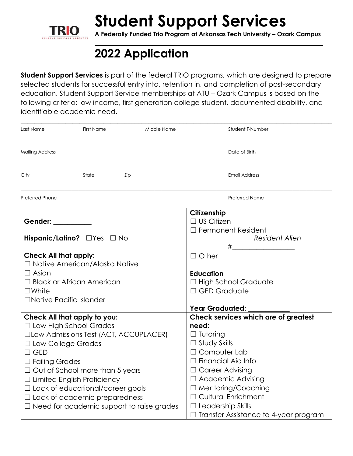

## **Student Support Services**

**A Federally Funded Trio Program at Arkansas Tech University – Ozark Campus \_\_\_\_\_\_\_\_\_\_\_\_\_\_\_\_\_\_\_\_\_\_\_\_\_\_\_\_\_\_\_\_\_\_\_\_\_\_\_\_\_\_\_\_\_\_\_\_\_\_\_\_\_\_\_\_\_\_\_\_\_\_\_\_\_\_**

### **2022 Application**

**Student Support Services** is part of the federal TRIO programs, which are designed to prepare selected students for successful entry into, retention in, and completion of post-secondary education. Student Support Service memberships at ATU – Ozark Campus is based on the following criteria: low income, first generation college student, documented disability, and identifiable academic need.

| Last Name                                                                                                      | First Name                           | Middle Name | Student T-Number                             |  |  |
|----------------------------------------------------------------------------------------------------------------|--------------------------------------|-------------|----------------------------------------------|--|--|
| <b>Mailing Address</b>                                                                                         |                                      |             | Date of Birth                                |  |  |
| City                                                                                                           | State                                | Zip         | <b>Email Address</b>                         |  |  |
| Preferred Phone                                                                                                |                                      |             | <b>Preferred Name</b>                        |  |  |
|                                                                                                                |                                      |             | Citizenship                                  |  |  |
| Gender: The Contract of the Contract of the Contract of the Contract of the Contract of the Contract of the Co |                                      |             | $\Box$ US Citizen                            |  |  |
|                                                                                                                |                                      |             | $\Box$ Permanent Resident                    |  |  |
|                                                                                                                | Hispanic/Latino? OYes ONO            |             | Resident Alien                               |  |  |
|                                                                                                                |                                      |             |                                              |  |  |
| <b>Check All that apply:</b>                                                                                   |                                      |             | $\Box$ Other                                 |  |  |
|                                                                                                                | $\Box$ Native American/Alaska Native |             |                                              |  |  |
| $\Box$ Asian                                                                                                   |                                      |             | <b>Education</b>                             |  |  |
| $\Box$ Black or African American                                                                               |                                      |             | $\Box$ High School Graduate                  |  |  |
| $\square$ White                                                                                                |                                      |             | $\Box$ GED Graduate                          |  |  |
| □Native Pacific Islander                                                                                       |                                      |             |                                              |  |  |
|                                                                                                                |                                      |             | <b>Year Graduated:</b>                       |  |  |
|                                                                                                                | Check All that apply to you:         |             | Check services which are of greatest         |  |  |
|                                                                                                                | $\Box$ Low High School Grades        |             | need:                                        |  |  |
| □Low Admissions Test (ACT, ACCUPLACER)                                                                         |                                      |             | $\Box$ Tutoring                              |  |  |
| □ Low College Grades                                                                                           |                                      |             | $\Box$ Study Skills                          |  |  |
| $\Box$ GED                                                                                                     |                                      |             | $\Box$ Computer Lab                          |  |  |
| □ Failing Grades                                                                                               |                                      |             | $\Box$ Financial Aid Info                    |  |  |
| $\Box$ Out of School more than 5 years                                                                         |                                      |             | $\Box$ Career Advising                       |  |  |
| $\Box$ Limited English Proficiency                                                                             |                                      |             | $\Box$ Academic Advising                     |  |  |
| $\Box$ Lack of educational/career goals                                                                        |                                      |             | $\Box$ Mentoring/Coaching                    |  |  |
| $\Box$ Lack of academic preparedness                                                                           |                                      |             | $\Box$ Cultural Enrichment                   |  |  |
| $\Box$ Need for academic support to raise grades                                                               |                                      |             | $\Box$ Leadership Skills                     |  |  |
|                                                                                                                |                                      |             | $\Box$ Transfer Assistance to 4-year program |  |  |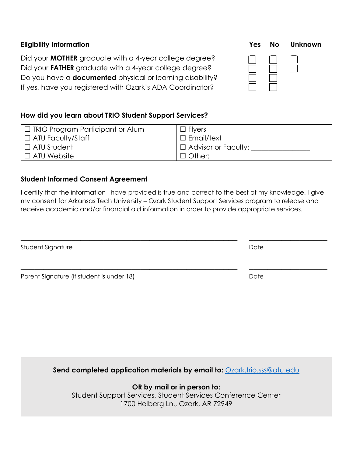| <b>Eligibility Information</b>                                                                                                                                                                                                                           | Yes | No | Unknown |
|----------------------------------------------------------------------------------------------------------------------------------------------------------------------------------------------------------------------------------------------------------|-----|----|---------|
| Did your <b>MOTHER</b> graduate with a 4-year college degree?<br>Did your FATHER graduate with a 4-year college degree?<br>Do you have a <b>documented</b> physical or learning disability?<br>If yes, have you registered with Ozark's ADA Coordinator? |     |    |         |

### **How did you learn about TRIO Student Support Services?**

| $\Box$ TRIO Program Participant or Alum | $\Box$ Flyers              |
|-----------------------------------------|----------------------------|
| $\Box$ ATU Faculty/Staff                | $\Box$ Email/text          |
| $\Box$ ATU Student                      | $\Box$ Advisor or Faculty: |
| $\Box$ ATU Website                      | $\Box$ Other:              |

### **Student Informed Consent Agreement**

I certify that the information I have provided is true and correct to the best of my knowledge. I give my consent for Arkansas Tech University – Ozark Student Support Services program to release and receive academic and/or financial aid information in order to provide appropriate services.

| Student Signature                         | Date |
|-------------------------------------------|------|
| Parent Signature (if student is under 18) | Date |

**Send completed application materials by email to: [Ozark.trio.sss@atu.edu](mailto:Ozark.trio.sss@atu.edu)** 

**OR by mail or in person to:**  Student Support Services, Student Services Conference Center 1700 Helberg Ln., Ozark, AR 72949